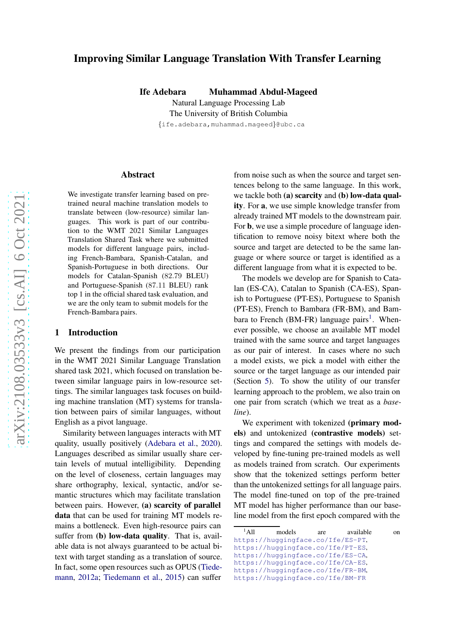# Improving Similar Language Translation With Transfer Learning

Ife Adebara Muhammad Abdul-Mageed

Natural Language Processing Lab The University of British Columbia {ife.adebara,muhammad.mageed }@ubc.ca

#### Abstract

We investigate transfer learning based on pretrained neural machine translation models to translate between (low-resource) similar languages. This work is part of our contribution to the WMT 2021 Similar Languages Translation Shared Task where we submitted models for different language pairs, including French-Bambara, Spanish-Catalan, and Spanish-Portuguese in both directions. Our models for Catalan-Spanish (82 .79 BLEU) and Portuguese-Spanish (87 .11 BLEU) rank top 1 in the official shared task evaluation, and we are the only team to submit models for the French-Bambara pairs.

### 1 Introduction

We present the findings from our participation in the WMT 2021 Similar Language Translation shared task 2021, which focused on translation between similar language pairs in low-resource settings. The similar languages task focuses on building machine translation (MT) systems for translation between pairs of similar languages, without English as a pivot language.

Similarity between languages interacts with MT quality, usually positively [\(Adebara et al.](#page-4-0) , [2020\)](#page-4-0). Languages described as similar usually share certain levels of mutual intelligibility. Depending on the level of closeness, certain languages may share orthography, lexical, syntactic, and/or semantic structures which may facilitate translation between pairs. However, (a) scarcity of parallel data that can be used for training MT models remains a bottleneck. Even high-resource pairs can suffer from (b) low-data quality. That is, available data is not always guaranteed to be actual bitext with target standing as a translation of source. In fa[ct, some open resources such as OPUS \(](#page-5-0)Tiedemann, [2012a](#page-5-0); [Tiedemann et al.,](#page-5-1) [2015\)](#page-5-1) can suffer

from noise such as when the source and target sentences belong to the same language. In this work, we tackle both (a) scarcity and (b) low-data quality. For a, we use simple knowledge transfer from already trained MT models to the downstream pair. For b, we use a simple procedure of language identification to remove noisy bitext where both the source and target are detected to be the same language or where source or target is identified as a different language from what it is expected to be.

The models we develop are for Spanish to Catalan (ES-CA), Catalan to Spanish (CA-ES), Spanish to Portuguese (PT-ES), Portuguese to Spanish (PT-ES), French to Bambara (FR-BM), and Bam-bara to French (BM-FR) language pairs<sup>[1](#page-0-0)</sup>. Whenever possible, we choose an available MT model trained with the same source and target languages as our pair of interest. In cases where no such a model exists, we pick a model with either the source or the target language as our intended pair (Section [5\)](#page-2-0). To show the utility of our transfer learning approach to the problem, we also train on one pair from scratch (which we treat as a *baseline*).

We experiment with tokenized (primary models) and untokenized (contrastive models) settings and compared the settings with models developed by fine-tuning pre-trained models as well as models trained from scratch. Our experiments show that the tokenized settings perform better than the untokenized settings for all language pairs. The model fine-tuned on top of the pre-trained MT model has higher performance than our baseline model from the first epoch compared with the

<span id="page-0-0"></span><sup>&</sup>lt;sup>1</sup>All models are available on <https://huggingface.co/Ife/ES-PT> , <https://huggingface.co/Ife/PT-ES> , <https://huggingface.co/Ife/ES-CA> , <https://huggingface.co/Ife/CA-ES> , <https://huggingface.co/Ife/FR-BM> , <https://huggingface.co/Ife/BM-FR>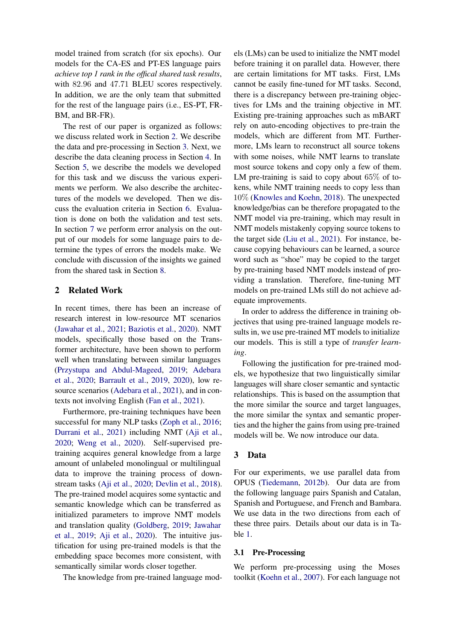model trained from scratch (for six epochs). Our models for the CA-ES and PT-ES language pairs *achieve top 1 rank in the offical shared task results*, with 82.96 and 47.71 BLEU scores respectively. In addition, we are the only team that submitted for the rest of the language pairs (i.e., ES-PT, FR-BM, and BR-FR).

The rest of our paper is organized as follows: we discuss related work in Section [2.](#page-1-0) We describe the data and pre-processing in Section [3.](#page-1-1) Next, we describe the data cleaning process in Section [4.](#page-2-1) In Section [5,](#page-2-0) we describe the models we developed for this task and we discuss the various experiments we perform. We also describe the architectures of the models we developed. Then we discuss the evaluation criteria in Section [6.](#page-4-1) Evaluation is done on both the validation and test sets. In section [7](#page-4-2) we perform error analysis on the output of our models for some language pairs to determine the types of errors the models make. We conclude with discussion of the insights we gained from the shared task in Section [8.](#page-4-3)

## <span id="page-1-0"></span>2 Related Work

In recent times, there has been an increase of research interest in low-resource MT scenarios [\(Jawahar et al.](#page-5-2), [2021](#page-5-2); [Baziotis et al.](#page-5-3), [2020\)](#page-5-3). NMT models, specifically those based on the Transformer architecture, have been shown to perform well when translating between similar languages [\(Przystupa and Abdul-Mageed,](#page-5-4) [2019;](#page-5-4) Adebara et al., [2020;](#page-4-0) [Barrault et al.](#page-5-5), [2019](#page-5-5), [2020](#page-4-4)), low resource scenarios [\(Adebara et al.,](#page-4-5) [2021](#page-4-5)), and in contexts not involving English [\(Fan et al.,](#page-5-6) [2021\)](#page-5-6).

Furthermore, pre-training techniques have been successful for many NLP tasks [\(Zoph et al.,](#page-5-7) [2016;](#page-5-7) [Durrani et al.](#page-5-8), [2021\)](#page-5-8) including NMT [\(Aji et al.,](#page-4-6) [2020;](#page-4-6) [Weng et al.,](#page-5-9) [2020\)](#page-5-9). Self-supervised pretraining acquires general knowledge from a large amount of unlabeled monolingual or multilingual data to improve the training process of downstream tasks [\(Aji et al.,](#page-4-6) [2020](#page-4-6); [Devlin et al.](#page-5-10), [2018\)](#page-5-10). The pre-trained model acquires some syntactic and semantic knowledge which can be transferred as initialized parameters to improve NMT models and t[ranslation quality](#page-5-12) [\(Goldberg,](#page-5-11) [2019](#page-5-11); Jawahar et al., [2019](#page-5-12); [Aji et al.](#page-4-6), [2020](#page-4-6)). The intuitive justification for using pre-trained models is that the embedding space becomes more consistent, with semantically similar words closer together.

The knowledge from pre-trained language mod-

els (LMs) can be used to initialize the NMT model before training it on parallel data. However, there are certain limitations for MT tasks. First, LMs cannot be easily fine-tuned for MT tasks. Second, there is a discrepancy between pre-training objectives for LMs and the training objective in MT. Existing pre-training approaches such as mBART rely on auto-encoding objectives to pre-train the models, which are different from MT. Furthermore, LMs learn to reconstruct all source tokens with some noises, while NMT learns to translate most source tokens and copy only a few of them. LM pre-training is said to copy about  $65\%$  of tokens, while NMT training needs to copy less than 10% [\(Knowles and Koehn](#page-5-13), [2018\)](#page-5-13). The unexpected knowledge/bias can be therefore propagated to the NMT model via pre-training, which may result in NMT models mistakenly copying source tokens to the target side [\(Liu et al.](#page-5-14), [2021\)](#page-5-14). For instance, because copying behaviours can be learned, a source word such as "shoe" may be copied to the target by pre-training based NMT models instead of providing a translation. Therefore, fine-tuning MT models on pre-trained LMs still do not achieve adequate improvements.

In order to address the difference in training objectives that using pre-trained language models results in, we use pre-trained MT models to initialize our models. This is still a type of *transfer learning*.

Following the justification for pre-trained models, we hypothesize that two linguistically similar languages will share closer semantic and syntactic relationships. This is based on the assumption that the more similar the source and target languages, the more similar the syntax and semantic properties and the higher the gains from using pre-trained models will be. We now introduce our data.

## <span id="page-1-1"></span>3 Data

For our experiments, we use parallel data from OPUS [\(Tiedemann,](#page-5-15) [2012b](#page-5-15)). Our data are from the following language pairs Spanish and Catalan, Spanish and Portuguese, and French and Bambara. We use data in the two directions from each of these three pairs. Details about our data is in Table [1.](#page-2-2)

## 3.1 Pre-Processing

We perform pre-processing using the Moses toolkit [\(Koehn et al.,](#page-5-16) [2007](#page-5-16)). For each language not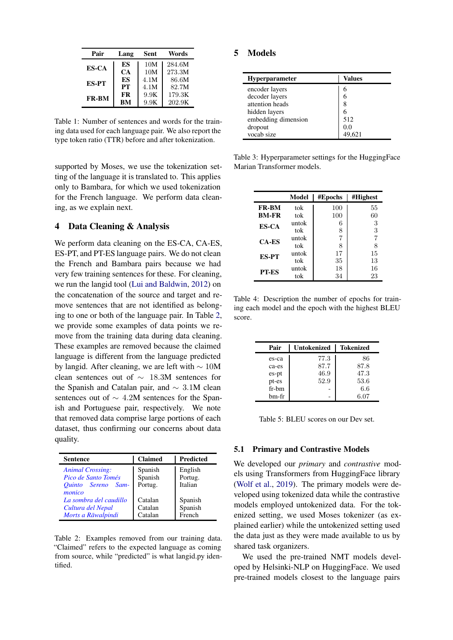<span id="page-2-2"></span>

| Pair         | Lang | Sent | Words  |
|--------------|------|------|--------|
| <b>ES-CA</b> | ES   | 10M  | 284.6M |
|              | CA   | 10M  | 273.3M |
| <b>ES-PT</b> | ES   | 4.1M | 86.6M  |
|              | PТ   | 4.1M | 82.7M  |
| <b>FR-BM</b> | FR   | 9.9K | 179.3K |
|              | BМ   | 9.9K | 202.9K |

Table 1: Number of sentences and words for the training data used for each language pair. We also report the type token ratio (TTR) before and after tokenization.

supported by Moses, we use the tokenization setting of the language it is translated to. This applies only to Bambara, for which we used tokenization for the French language. We perform data cleaning, as we explain next.

## <span id="page-2-1"></span>4 Data Cleaning & Analysis

We perform data cleaning on the ES-CA, CA-ES, ES-PT, and PT-ES language pairs. We do not clean the French and Bambara pairs because we had very few training sentences for these. For cleaning, we run the langid tool [\(Lui and Baldwin,](#page-5-17) [2012\)](#page-5-17) on the concatenation of the source and target and remove sentences that are not identified as belonging to one or both of the language pair. In Table [2,](#page-2-3) we provide some examples of data points we remove from the training data during data cleaning. These examples are removed because the claimed language is different from the language predicted by langid. After cleaning, we are left with ∼ 10M clean sentences out of  $\sim$  18.3M sentences for the Spanish and Catalan pair, and ∼ 3.1M clean sentences out of ∼ 4.2M sentences for the Spanish and Portuguese pair, respectively. We note that removed data comprise large portions of each dataset, thus confirming our concerns about data quality.

<span id="page-2-3"></span>

| <b>Sentence</b>                                                                   | <b>Claimed</b>                | <b>Predicted</b>              |
|-----------------------------------------------------------------------------------|-------------------------------|-------------------------------|
| <b>Animal Crossing:</b><br>Pico de Santo Tomés<br>Quinto Sereno<br>Sam-<br>monico | Spanish<br>Spanish<br>Portug. | English<br>Portug.<br>Italian |
| La sombra del caudillo<br>Cultura del Nepal<br>Morts a Rāwalpindi                 | Catalan<br>Catalan<br>Catalan | Spanish<br>Spanish<br>French  |

Table 2: Examples removed from our training data. "Claimed" refers to the expected language as coming from source, while "predicted" is what langid.py identified.

### <span id="page-2-4"></span><span id="page-2-0"></span>5 Models

| <b>Hyperparameter</b> | Values |
|-----------------------|--------|
| encoder layers        | 6      |
| decoder layers        | 6      |
| attention heads       | 8      |
| hidden layers         | 6      |
| embedding dimension   | 512    |
| dropout               | 0.0    |
| vocab size            |        |

Table 3: Hyperparameter settings for the HuggingFace Marian Transformer models.

<span id="page-2-5"></span>

|              | Model | #Epochs        | #Highest |
|--------------|-------|----------------|----------|
| <b>FR-BM</b> | tok   | 100            | 55       |
| <b>BM-FR</b> | tok   | 100            | 60       |
| <b>ES-CA</b> | untok | 6              | 3        |
|              | tok   | 8              | 3        |
| <b>CA-ES</b> | untok | $\overline{7}$ | 7        |
|              | tok   | 8              | 8        |
| <b>ES-PT</b> | untok | 17             | 15       |
|              | tok   | 35             | 13       |
| <b>PT-ES</b> | untok | 18             | 16       |
|              | tok   | 34             | 23       |

Table 4: Description the number of epochs for training each model and the epoch with the highest BLEU score.

<span id="page-2-6"></span>

| Pair  | Untokenized | <b>Tokenized</b> |
|-------|-------------|------------------|
| es-ca | 77.3        | 86               |
| ca-es | 87.7        | 87.8             |
| es-pt | 46.9        | 47.3             |
| pt-es | 52.9        | 53.6             |
| fr-bm |             | 6.6              |
| hm-fr |             | 6.07             |

Table 5: BLEU scores on our Dev set.

#### 5.1 Primary and Contrastive Models

We developed our *primary* and *contrastive* models using Transformers from HuggingFace library [\(Wolf et al.](#page-5-18), [2019\)](#page-5-18). The primary models were developed using tokenized data while the contrastive models employed untokenized data. For the tokenized setting, we used Moses tokenizer (as explained earlier) while the untokenized setting used the data just as they were made available to us by shared task organizers.

We used the pre-trained NMT models developed by Helsinki-NLP on HuggingFace. We used pre-trained models closest to the language pairs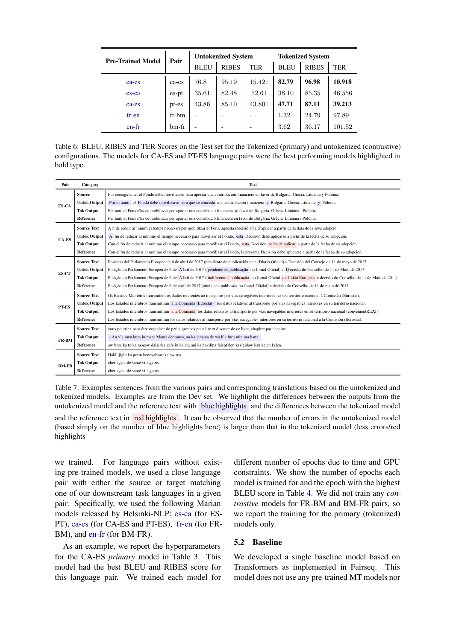<span id="page-3-1"></span>

| <b>Pre-Trained Model</b> | Pair  | <b>Untokenized System</b> |              |        | <b>Tokenized System</b> |              |            |
|--------------------------|-------|---------------------------|--------------|--------|-------------------------|--------------|------------|
|                          |       | <b>BLEU</b>               | <b>RIBES</b> | TER    | <b>BLEU</b>             | <b>RIBES</b> | <b>TER</b> |
| ca-es                    | ca-es | 76.8                      | 95.19        | 15.421 | 82.79                   | 96.98        | 10.918     |
| es-ca                    | es-pt | 35.61                     | 82.48        | 52.61  | 38.10                   | 85.35        | 46.556     |
| ca-es                    | pt-es | 43.86                     | 85.10        | 43.801 | 47.71                   | 87.11        | 39.213     |
| $fr-en$                  | fr-bm |                           |              |        | 1.32                    | 24.79        | 97.89      |
| $en-fr$                  | bm-fr | -                         |              |        | 3.62                    | 36.17        | 101.52     |

Table 6: BLEU, RIBES and TER Scores on the Test set for the Tokenized (primary) and untokenized (contrastive) configurations. The models for CA-ES and PT-ES language pairs were the best performing models highlighted in bold type.

<span id="page-3-0"></span>

| Pair         | Category            | <b>Text</b>                                                                                                                                                    |
|--------------|---------------------|----------------------------------------------------------------------------------------------------------------------------------------------------------------|
| ES-CA        | <b>Source</b>       | Por consiguiente, el Fondo debe movilizarse para aportar una contribución financiera en favor de Bulgaria, Grecia, Lituania y Polonia.                         |
|              | <b>Untok Output</b> | Por lo tanto, el Fondo debe movilizarse para que se conceda una contribución financiera a Bulgaria, Grecia, Lituania y Polonia.                                |
|              | <b>Tok Output</b>   | Per tant, el Fons s'ha de mobilitzar per aportar una contribució financera a favor de Bulgaria, Grècia, Lituània i Polònia.                                    |
|              | Reference           | Per tant, el Fons s'ha de mobilitzar per aportar una contribució financera en favor de Bulgària, Grècia, Lituània i Polònia.                                   |
|              | <b>Source Text</b>  | A fi de reduir al mínim el temps necessari per mobilitzar el Fons, aquesta Decisió s'ha d'aplicar a partir de la data de la seva adopció,                      |
| CA-ES        | <b>Untok Output</b> | A fin de reducir al mínimo el tiempo necesario para movilizar el Fondo, esta Decisión debe aplicarse a partir de la fecha de su adopción,                      |
|              | <b>Tok Output</b>   | Con el fin de reducir al mínimo el tiempo necesario para movilizar el Fondo, esta Decisión se ha de aplicar a partir de la fecha de su adopción.               |
|              | Reference           | Con el fin de reducir al mínimo el tiempo necesario para movilizar el Fondo, la presente Decisión debe aplicarse a partir de la fecha de su adopción,          |
|              | <b>Source Text</b>  | Posición del Parlamento Europeo de 6 de abril de 2017 (pendiente de publicación en el Diario Oficial) y Decisión del Consejo de 11 de mayo de 2017.            |
| <b>ES-PT</b> | <b>Untok Output</b> | Posição do Parlamento Europeu de 6 de A bril de 2017 (pendente de publicação no Jornal Oficial) e D ecisão do Conselho de 11 de Maio de 2017.                  |
|              | <b>Tok Output</b>   | Posição do Parlamento Europeu de 6 de Abril de 2017 (indiferente à publicação no Jornal Oficial da União Europeia e decisão do Conselho de 11 de Maio de 201). |
|              | Reference           | Posição do Parlamento Europeu de 6 de abril de 2017 (ainda não publicada no Jornal Oficial) e decisão do Conselho de 11 de maio de 2017.                       |
|              | <b>Source Text</b>  | Os Estados-Membros transmitem os dados referentes ao transporte por vias navegáveis interiores no seu território nacional à Comissão (Eurostat).               |
| PT-ES        | <b>Untok Output</b> | Los Estados miembros transmitirán a la Comisión (Eurostat) los datos relativos al transporte por vías navegables interiores en su territorio nacional.         |
|              | <b>Tok Output</b>   | Los Estados miembros transmitirán a la Comisión los datos relativos al transporte por vías navegables interiores en su territorio nacional (convenientREAT)    |
|              | Reference           | Los Estados miembros transmitirán los datos relativos al transporte por vías navegables interiores en su territorio nacional a la Comisión (Eurostat).         |
|              | <b>Source Text</b>  | vous pourriez peut-être organiser de petits groupes pour lire et discuter de ce livre, chapitre par chapitre.                                                  |
| FR-BM        | <b>Tok Output</b>   | - An y'a men kura in men: Mama denmuso, an ka jamana de wa k'a furu min ma kono.                                                                               |
|              | Reference           | aw bese ka to ka mogow dalajeka gafe in kalan; ani ka hakilina falenfalen kesigidaw kan kelen kelen.                                                           |
|              | <b>Source Text</b>  | Hakilijigin ka pesin keneyabaarakelaw ma                                                                                                                       |
|              | <b>Tok Output</b>   | cher agent de santé villageois,                                                                                                                                |
| <b>BM-FR</b> | Reference           | cher agent de santé villageois,                                                                                                                                |

Table 7: Examples sentences from the various pairs and corresponding translations based on the untokenized and tokenized models. Examples are from the Dev set. We highlight the differences between the outputs from the untokenized model and the reference text with blue highlights and the differences between the tokenized model

and the reference text in red highlights . It can be observed that the number of errors in the untokenized model (based simply on the number of blue highlights here) is larger than that in the tokenized model (less errors/red highlights

we trained. For language pairs without existing pre-trained models, we used a close language pair with either the source or target matching one of our downstream task languages in a given pair. Specifically, we used the following Marian models released by Helsinki-NLP: [es-ca](https://huggingface.co/Helsinki-NLP/opus-mt-es-ca) (for ES-PT), [ca-es](https://huggingface.co/Helsinki-NLP/opus-mt-ca-es) (for CA-ES and PT-ES), [fr-en](https://huggingface.co/Helsinki-NLP/opus-mt-en-fr) (for FR-BM), and [en-fr](https://huggingface.co/Helsinki-NLP/opus-mt-en-fr) (for BM-FR).

As an example, we report the hyperparameters for the CA-ES *primary* model in Table [3.](#page-2-4) This model had the best BLEU and RIBES score for this language pair. We trained each model for different number of epochs due to time and GPU constraints. We show the number of epochs each model is trained for and the epoch with the highest BLEU score in Table [4.](#page-2-5) We did not train any *contrastive* models for FR-BM and BM-FR pairs, so we report the training for the primary (tokenized) models only.

# 5.2 Baseline

We developed a single baseline model based on Transformers as implemented in Fairseq. This model does not use any pre-trained MT models nor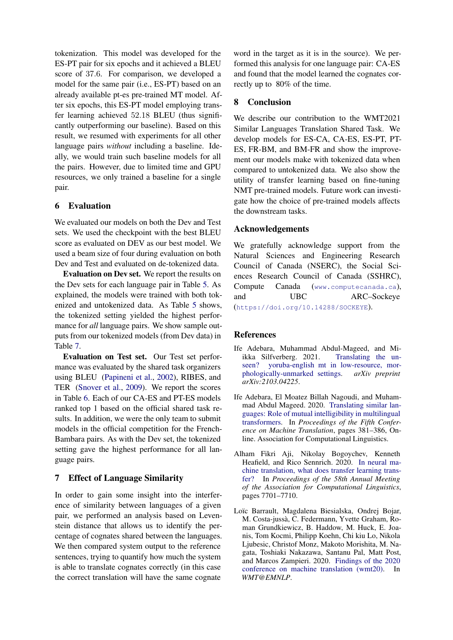tokenization. This model was developed for the ES-PT pair for six epochs and it achieved a BLEU score of 37.6. For comparison, we developed a model for the same pair (i.e., ES-PT) based on an already available pt-es pre-trained MT model. After six epochs, this ES-PT model employing transfer learning achieved 52.18 BLEU (thus significantly outperforming our baseline). Based on this result, we resumed with experiments for all other language pairs *without* including a baseline. Ideally, we would train such baseline models for all the pairs. However, due to limited time and GPU resources, we only trained a baseline for a single pair.

# <span id="page-4-1"></span>6 Evaluation

We evaluated our models on both the Dev and Test sets. We used the checkpoint with the best BLEU score as evaluated on DEV as our best model. We used a beam size of four during evaluation on both Dev and Test and evaluated on de-tokenized data.

Evaluation on Dev set. We report the results on the Dev sets for each language pair in Table [5.](#page-2-6) As explained, the models were trained with both tokenized and untokenized data. As Table [5](#page-2-6) shows, the tokenized setting yielded the highest performance for *all* language pairs. We show sample outputs from our tokenized models (from Dev data) in Table [7.](#page-3-0)

Evaluation on Test set. Our Test set performance was evaluated by the shared task organizers using BLEU [\(Papineni et al.](#page-5-19), [2002\)](#page-5-19), RIBES, and TER [\(Snover et al.,](#page-5-20) [2009\)](#page-5-20). We report the scores in Table [6.](#page-3-1) Each of our CA-ES and PT-ES models ranked top 1 based on the official shared task results. In addition, we were the only team to submit models in the official competition for the French-Bambara pairs. As with the Dev set, the tokenized setting gave the highest performance for all language pairs.

# <span id="page-4-2"></span>7 Effect of Language Similarity

In order to gain some insight into the interference of similarity between languages of a given pair, we performed an analysis based on Levenstein distance that allows us to identify the percentage of cognates shared between the languages. We then compared system output to the reference sentences, trying to quantify how much the system is able to translate cognates correctly (in this case the correct translation will have the same cognate

word in the target as it is in the source). We performed this analysis for one language pair: CA-ES and found that the model learned the cognates correctly up to 80% of the time.

# <span id="page-4-3"></span>8 Conclusion

We describe our contribution to the WMT2021 Similar Languages Translation Shared Task. We develop models for ES-CA, CA-ES, ES-PT, PT-ES, FR-BM, and BM-FR and show the improvement our models make with tokenized data when compared to untokenized data. We also show the utility of transfer learning based on fine-tuning NMT pre-trained models. Future work can investigate how the choice of pre-trained models affects the downstream tasks.

# Acknowledgements

We gratefully acknowledge support from the Natural Sciences and Engineering Research Council of Canada (NSERC), the Social Sciences Research Council of Canada (SSHRC), Compute Canada (<www.computecanada.ca>), and UBC ARC–Sockeye (<https://doi.org/10.14288/SOCKEYE>).

# References

- <span id="page-4-5"></span>Ife Adebara, Muhammad Abdul-Mageed, and Miikka Silfverberg. 2021. Translating the unseen? yoruba-english mt i[n l](https://arxiv.org/pdf/2103.04225.pdf)ow-resource, morphologically-unmarked settings. *arXiv preprint arXiv:2103.04225*.
- <span id="page-4-0"></span>Ife Adebara, El Moatez Billah Nagoudi, and Muhammad Abdul Mageed. 2020. Translating similar languages: Rol[e of mutual intell](https://aclanthology.org/2020.wmt-1.42.pdf)igibility in multilingual transformers. In *Proceedings of the Fifth Conference on Machine Translation*, pages 381–386, Online. Association for Computational Linguistics.
- <span id="page-4-6"></span>Alham Fikri Aji, Nikolay Bogoychev, Kenneth Heafield, and Rico Sennrich. 2020. In neural machi[ne translation, what does transfer l](https://aclanthology.org/2020.acl-main.688.pdf)earning transfer? In *Proceedings of the 58th Annual Meeting of the Association for Computational Linguistics*, pages 7701–7710.
- <span id="page-4-4"></span>Loïc Barrault, Magdalena Biesialska, Ondrej Bojar, M. Costa-juss`a, C. Federmann, Yvette Graham, Roman Grundkiewicz, B. Haddow, M. Huck, E. Joanis, Tom Kocmi, Philipp Koehn, Chi kiu Lo, Nikola Ljubesic, Christof Monz, Makoto Morishita, M. Nagata, Toshiaki Nakazawa, Santanu Pal, Matt Post, and Marcos Zampieri. 2020. Findings of the 2020 conference on machine translation (wmt20). In *WMT@EMNLP*.